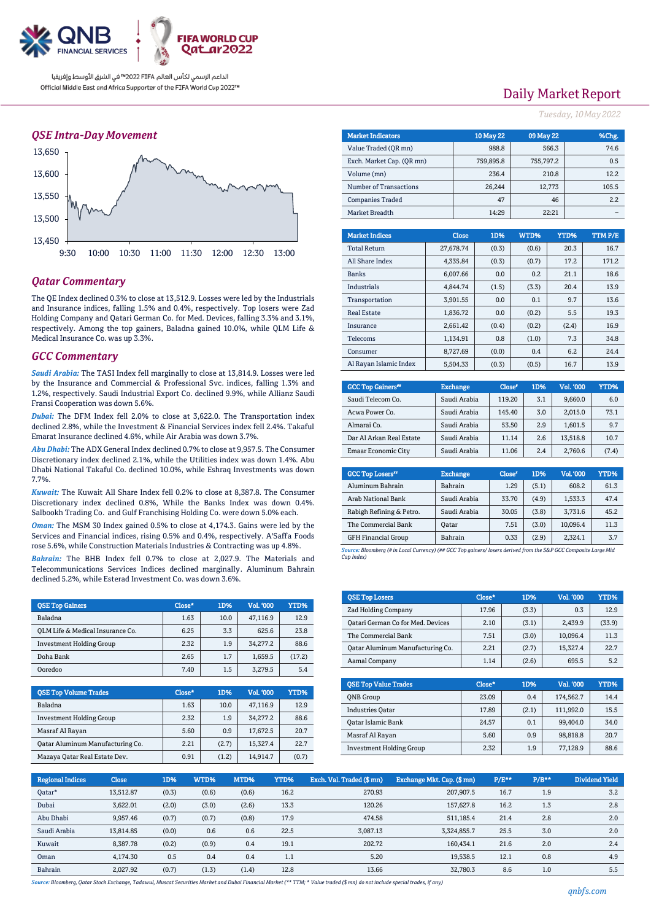

### *QSE Intra-Day Movement*



## *Qatar Commentary*

The QE Index declined 0.3% to close at 13,512.9. Losses were led by the Industrials and Insurance indices, falling 1.5% and 0.4%, respectively. Top losers were Zad Holding Company and Qatari German Co. for Med. Devices, falling 3.3% and 3.1%, respectively. Among the top gainers, Baladna gained 10.0%, while QLM Life & Medical Insurance Co. was up 3.3%.

## *GCC Commentary*

*Saudi Arabia:* The TASI Index fell marginally to close at 13,814.9. Losses were led by the Insurance and Commercial & Professional Svc. indices, falling 1.3% and 1.2%, respectively. Saudi Industrial Export Co. declined 9.9%, while Allianz Saudi Fransi Cooperation was down 5.6%.

*Dubai:* The DFM Index fell 2.0% to close at 3,622.0. The Transportation index declined 2.8%, while the Investment & Financial Services index fell 2.4%. Takaful Emarat Insurance declined 4.6%, while Air Arabia was down 3.7%.

*Abu Dhabi:* The ADX General Index declined 0.7% to close at 9,957.5. The Consumer Discretionary index declined 2.1%, while the Utilities index was down 1.4%. Abu Dhabi National Takaful Co. declined 10.0%, while Eshraq Investments was down 7.7%.

*Kuwait:* The Kuwait All Share Index fell 0.2% to close at 8,387.8. The Consumer Discretionary index declined 0.8%, While the Banks Index was down 0.4%. Salbookh Trading Co. and Gulf Franchising Holding Co. were down 5.0% each.

*Oman:* The MSM 30 Index gained 0.5% to close at 4,174.3. Gains were led by the Services and Financial indices, rising 0.5% and 0.4%, respectively. A'Saffa Foods rose 5.6%, while Construction Materials Industries & Contracting was up 4.8%.

*Bahrain:* The BHB Index fell 0.7% to close at 2,027.9. The Materials and Telecommunications Services Indices declined marginally. Aluminum Bahrain declined 5.2%, while Esterad Investment Co. was down 3.6%.

| <b>QSE Top Gainers</b>           | Close* | 1D%  | <b>Vol. '000</b> | <b>YTD%</b> |
|----------------------------------|--------|------|------------------|-------------|
| Baladna                          | 1.63   | 10.0 | 47,116.9         | 12.9        |
| OLM Life & Medical Insurance Co. | 6.25   | 3.3  | 625.6            | 23.8        |
| <b>Investment Holding Group</b>  | 2.32   | 1.9  | 34.277.2         | 88.6        |
| Doha Bank                        | 2.65   | 1.7  | 1.659.5          | (17.2)      |
| Ooredoo                          | 7.40   | 1.5  | 3.279.5          | 5.4         |

| <b>QSE Top Volume Trades</b>     | Close* | 1D%   | Vol. '000 | YTD%  |
|----------------------------------|--------|-------|-----------|-------|
| Baladna                          | 1.63   | 10.0  | 47.116.9  | 12.9  |
| <b>Investment Holding Group</b>  | 2.32   | 1.9   | 34.277.2  | 88.6  |
| Masraf Al Rayan                  | 5.60   | 0.9   | 17,672.5  | 20.7  |
| Oatar Aluminum Manufacturing Co. | 2.21   | (2.7) | 15.327.4  | 22.7  |
| Mazaya Qatar Real Estate Dev.    | 0.91   | (1.2) | 14.914.7  | (0.7) |

# Daily Market Report

*Tuesday, 10May2022*

| <b>Market Indicators</b>  |  | <b>10 May 22</b> | 09 May 22 |           | %Chg.  |         |
|---------------------------|--|------------------|-----------|-----------|--------|---------|
| Value Traded (OR mn)      |  | 988.8            |           | 566.3     | 74.6   |         |
| Exch. Market Cap. (QR mn) |  | 759,895.8        |           | 755,797.2 |        | 0.5     |
| Volume (mn)               |  |                  | 236.4     |           | 210.8  | 12.2    |
| Number of Transactions    |  |                  | 26,244    |           | 12,773 | 105.5   |
| <b>Companies Traded</b>   |  |                  | 47        |           | 46     | 2.2     |
| <b>Market Breadth</b>     |  |                  | 14:29     |           | 22:21  |         |
|                           |  |                  |           |           |        |         |
| <b>Market Indices</b>     |  | <b>Close</b>     | 1D%       | WTD%      | YTD%   | TTM P/E |
| <b>Total Return</b>       |  | 27,678.74        | (0.3)     | (0.6)     | 20.3   | 16.7    |
| All Share Index           |  | 4.335.84         | (0.3)     | (0.7)     | 17.2   | 171.2   |
| <b>Banks</b>              |  | 6.007.66         | 0.0       | 0.2       | 21.1   | 18.6    |
| <b>Industrials</b>        |  | 4.844.74         | (1.5)     | (3.3)     | 20.4   | 13.9    |
| Transportation            |  | 3.901.55         | 0.0       | 0.1       | 9.7    | 13.6    |
| <b>Real Estate</b>        |  | 1,836.72         | 0.0       | (0.2)     | 5.5    | 19.3    |
| Insurance                 |  | 2.661.42         | (0.4)     | (0.2)     | (2.4)  | 16.9    |
| Telecoms                  |  | 1,134.91         | 0.8       | (1.0)     | 7.3    | 34.8    |
| Consumer                  |  | 8.727.69         | (0.0)     | 0.4       | 6.2    | 24.4    |
| Al Rayan Islamic Index    |  | 5.504.33         | (0.3)     | (0.5)     | 16.7   | 13.9    |

| <b>GCC Top Gainers"</b>  | <b>Exchange</b> | Close* | 1D% | Vol. '000 | <b>YTD%</b> |
|--------------------------|-----------------|--------|-----|-----------|-------------|
| Saudi Telecom Co.        | Saudi Arabia    | 119.20 | 3.1 | 9.660.0   | 6.0         |
| Acwa Power Co.           | Saudi Arabia    | 145.40 | 3.0 | 2.015.0   | 73.1        |
| Almarai Co.              | Saudi Arabia    | 53.50  | 2.9 | 1.601.5   | 9.7         |
| Dar Al Arkan Real Estate | Saudi Arabia    | 11.14  | 2.6 | 13.518.8  | 10.7        |
| Emaar Economic City      | Saudi Arabia    | 11.06  | 2.4 | 2,760.6   | (7.4)       |

| <b>GCC Top Losers</b> "    | <b>Exchange</b> | Close <sup>®</sup> | 1D%   | Vol. '000 | YTD% |
|----------------------------|-----------------|--------------------|-------|-----------|------|
| Aluminum Bahrain           | Bahrain         | 1.29               | (5.1) | 608.2     | 61.3 |
| Arab National Bank         | Saudi Arabia    | 33.70              | (4.9) | 1,533.3   | 47.4 |
| Rabigh Refining & Petro.   | Saudi Arabia    | 30.05              | (3.8) | 3,731.6   | 45.2 |
| The Commercial Bank        | Oatar           | 7.51               | (3.0) | 10.096.4  | 11.3 |
| <b>GFH Financial Group</b> | Bahrain         | 0.33               | (2.9) | 2,324.1   | 3.7  |

*Source: Bloomberg (# in Local Currency) (## GCC Top gainers/ losers derived from the S&P GCC Composite Large Mid Cap Index)*

| $Close*$ | 1D%   | Vol. '000 | YTD%   |
|----------|-------|-----------|--------|
| 17.96    | (3.3) | 0.3       | 12.9   |
| 2.10     | (3.1) | 2.439.9   | (33.9) |
| 7.51     | (3.0) | 10.096.4  | 11.3   |
| 2.21     | (2.7) | 15.327.4  | 22.7   |
| 1.14     | (2.6) | 695.5     | 5.2    |
|          |       |           |        |

| <b>QSE Top Value Trades</b>     | Close* | 1D%   | Val. '000 | <b>YTD%</b> |
|---------------------------------|--------|-------|-----------|-------------|
| <b>ONB</b> Group                | 23.09  | 0.4   | 174,562.7 | 14.4        |
| <b>Industries Oatar</b>         | 17.89  | (2.1) | 111,992.0 | 15.5        |
| Qatar Islamic Bank              | 24.57  | 0.1   | 99.404.0  | 34.0        |
| Masraf Al Rayan                 | 5.60   | 0.9   | 98,818.8  | 20.7        |
| <b>Investment Holding Group</b> | 2.32   | 1.9   | 77,128.9  | 88.6        |

| <b>Regional Indices</b> | <b>Close</b> | 1D%   | WTD%  | MTD%  | <b>YTD%</b> | Exch. Val. Traded (\$mn) | Exchange Mkt. Cap. (\$ mn) | $P/E***$ | $P/B**$ | Dividend Yield |
|-------------------------|--------------|-------|-------|-------|-------------|--------------------------|----------------------------|----------|---------|----------------|
| Oatar*                  | 13.512.87    | (0.3) | (0.6) | (0.6) | 16.2        | 270.93                   | 207.907.5                  | 16.7     | 1.9     | 3.2            |
| Dubai                   | 3.622.01     | (2.0) | (3.0) | (2.6) | 13.3        | 120.26                   | 157,627.8                  | 16.2     | 1.3     | 2.8            |
| Abu Dhabi               | 9,957.46     | (0.7) | (0.7) | (0.8) | 17.9        | 474.58                   | 511.185.4                  | 21.4     | 2.8     | 2.0            |
| Saudi Arabia            | 13.814.85    | (0.0) | 0.6   | 0.6   | 22.5        | 3,087.13                 | 3,324,855.7                | 25.5     | 3.0     | 2.0            |
| Kuwait                  | 8.387.78     | (0.2) | (0.9) | 0.4   | 19.1        | 202.72                   | 160,434.1                  | 21.6     | 2.0     | 2.4            |
| Oman                    | 4.174.30     | 0.5   | 0.4   | 0.4   | 1.1         | 5.20                     | 19.538.5                   | 12.1     | 0.8     | 4.9            |
| Bahrain                 | 2.027.92     | (0.7) | (1.3) | (1.4) | 12.8        | 13.66                    | 32.780.3                   | 8.6      | 1.0     | 5.5            |

*Source: Bloomberg, Qatar Stock Exchange, Tadawul, Muscat Securities Market and Dubai Financial Market (\*\* TTM; \* Value traded (\$ mn) do not include special trades, if any)*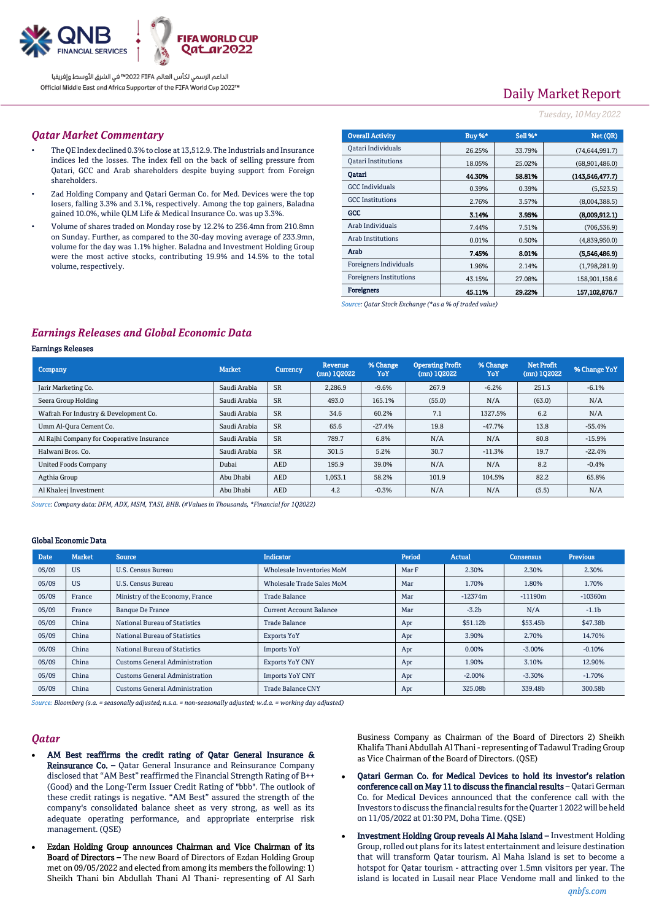

# Daily Market Report

#### *Tuesday, 10May2022*

#### *Qatar Market Commentary*

- The QE Index declined 0.3% to close at 13,512.9. The Industrials and Insurance indices led the losses. The index fell on the back of selling pressure from Qatari, GCC and Arab shareholders despite buying support from Foreign shareholders.
- Zad Holding Company and Qatari German Co. for Med. Devices were the top losers, falling 3.3% and 3.1%, respectively. Among the top gainers, Baladna gained 10.0%, while QLM Life & Medical Insurance Co. was up 3.3%.
- Volume of shares traded on Monday rose by 12.2% to 236.4mn from 210.8mn on Sunday. Further, as compared to the 30-day moving average of 233.9mn, volume for the day was 1.1% higher. Baladna and Investment Holding Group were the most active stocks, contributing 19.9% and 14.5% to the total volume, respectively.

| <b>Overall Activity</b>        | Buy %* | Sell %* | Net (QR)          |
|--------------------------------|--------|---------|-------------------|
| Qatari Individuals             | 26.25% | 33.79%  | (74,644,991.7)    |
| <b>Oatari Institutions</b>     | 18.05% | 25.02%  | (68,901,486.0)    |
| Oatari                         | 44.30% | 58.81%  | (143, 546, 477.7) |
| <b>GCC</b> Individuals         | 0.39%  | 0.39%   | (5,523.5)         |
| <b>GCC</b> Institutions        | 2.76%  | 3.57%   | (8,004,388.5)     |
| GCC                            | 3.14%  | 3.95%   | (8,009,912.1)     |
| Arab Individuals               | 7.44%  | 7.51%   | (706, 536.9)      |
| Arab Institutions              | 0.01%  | 0.50%   | (4,839,950.0)     |
| Arab                           | 7.45%  | 8.01%   | (5,546,486.9)     |
| Foreigners Individuals         | 1.96%  | 2.14%   | (1,798,281.9)     |
| <b>Foreigners Institutions</b> | 43.15% | 27.08%  | 158,901,158.6     |
| <b>Foreigners</b>              | 45.11% | 29.22%  | 157,102,876.7     |

*Source: Qatar Stock Exchange (\*as a % of traded value)*

### *Earnings Releases and Global Economic Data*

#### Earnings Releases

| Company                                    | <b>Market</b> | Currency   | <b>Revenue</b><br>$(mn)$ 102022 | % Change<br>YoY | <b>Operating Profit</b><br>$(mn)$ 102022 | % Change<br>YoY | <b>Net Profit</b><br>$(mn)$ 102022 | % Change YoY |
|--------------------------------------------|---------------|------------|---------------------------------|-----------------|------------------------------------------|-----------------|------------------------------------|--------------|
| Jarir Marketing Co.                        | Saudi Arabia  | SR         | 2,286.9                         | $-9.6%$         | 267.9                                    | $-6.2%$         | 251.3                              | $-6.1%$      |
| Seera Group Holding                        | Saudi Arabia  | <b>SR</b>  | 493.0                           | 165.1%          | (55.0)                                   | N/A             | (63.0)                             | N/A          |
| Wafrah For Industry & Development Co.      | Saudi Arabia  | <b>SR</b>  | 34.6                            | 60.2%           | 7.1                                      | 1327.5%         | 6.2                                | N/A          |
| Umm Al-Oura Cement Co.                     | Saudi Arabia  | <b>SR</b>  | 65.6                            | $-27.4%$        | 19.8                                     | $-47.7%$        | 13.8                               | $-55.4%$     |
| Al Rajhi Company for Cooperative Insurance | Saudi Arabia  | <b>SR</b>  | 789.7                           | 6.8%            | N/A                                      | N/A             | 80.8                               | $-15.9%$     |
| Halwani Bros. Co.                          | Saudi Arabia  | SR         | 301.5                           | 5.2%            | 30.7                                     | $-11.3%$        | 19.7                               | $-22.4%$     |
| <b>United Foods Company</b>                | Dubai         | <b>AED</b> | 195.9                           | 39.0%           | N/A                                      | N/A             | 8.2                                | $-0.4%$      |
| Agthia Group                               | Abu Dhabi     | <b>AED</b> | 1,053.1                         | 58.2%           | 101.9                                    | 104.5%          | 82.2                               | 65.8%        |
| Al Khaleej Investment                      | Abu Dhabi     | AED        | 4.2                             | $-0.3%$         | N/A                                      | N/A             | (5.5)                              | N/A          |

*Source: Company data: DFM, ADX, MSM, TASI, BHB. (#Values in Thousands, \*Financial for 1Q2022)*

#### Global Economic Data

| <b>Date</b> | <b>Market</b> | <b>Source</b>                         | <b>Indicator</b>                 | Period | <b>Actual</b>        | Consensus | <b>Previous</b> |
|-------------|---------------|---------------------------------------|----------------------------------|--------|----------------------|-----------|-----------------|
| 05/09       | <b>US</b>     | U.S. Census Bureau                    | Wholesale Inventories MoM        | Mar F  | 2.30%                | 2.30%     | 2.30%           |
| 05/09       | <b>US</b>     | U.S. Census Bureau                    | <b>Wholesale Trade Sales MoM</b> | Mar    | 1.70%                | 1.80%     | 1.70%           |
| 05/09       | France        | Ministry of the Economy, France       | <b>Trade Balance</b>             | Mar    | $-12374m$            | $-11190m$ | $-10360m$       |
| 05/09       | France        | <b>Banque De France</b>               | <b>Current Account Balance</b>   | Mar    | $-3.2b$              | N/A       | $-1.1b$         |
| 05/09       | China         | National Bureau of Statistics         | <b>Trade Balance</b>             | Apr    | \$51.12 <sub>b</sub> | \$53.45b  | \$47.38b        |
| 05/09       | China         | National Bureau of Statistics         | <b>Exports YoY</b>               | Apr    | 3.90%                | 2.70%     | 14.70%          |
| 05/09       | China         | National Bureau of Statistics         | <b>Imports YoY</b>               | Apr    | 0.00%                | $-3.00%$  | $-0.10%$        |
| 05/09       | China         | <b>Customs General Administration</b> | <b>Exports YoY CNY</b>           | Apr    | 1.90%                | 3.10%     | 12.90%          |
| 05/09       | China         | <b>Customs General Administration</b> | <b>Imports YoY CNY</b>           | Apr    | $-2.00\%$            | $-3.30%$  | $-1.70%$        |
| 05/09       | China         | <b>Customs General Administration</b> | <b>Trade Balance CNY</b>         | Apr    | 325.08b              | 339.48b   | 300.58b         |

*Source: Bloomberg (s.a. = seasonally adjusted; n.s.a. = non-seasonally adjusted; w.d.a. = working day adjusted)*

#### *Qatar*

- AM Best reaffirms the credit rating of Qatar General Insurance & Reinsurance Co. – Qatar General Insurance and Reinsurance Company disclosed that "AM Best" reaffirmed the Financial Strength Rating of B++ (Good) and the Long-Term Issuer Credit Rating of "bbb". The outlook of these credit ratings is negative. "AM Best" assured the strength of the company's consolidated balance sheet as very strong, as well as its adequate operating performance, and appropriate enterprise risk management. (QSE)
- Ezdan Holding Group announces Chairman and Vice Chairman of its Board of Directors – The new Board of Directors of Ezdan Holding Group met on 09/05/2022 and elected from among its members the following: 1) Sheikh Thani bin Abdullah Thani Al Thani- representing of Al Sarh

Business Company as Chairman of the Board of Directors 2) Sheikh Khalifa Thani Abdullah Al Thani - representing of Tadawul Trading Group as Vice Chairman of the Board of Directors. (QSE)

- Qatari German Co. for Medical Devices to hold its investor's relation conference call on May 11 to discuss the financial results – Qatari German Co. for Medical Devices announced that the conference call with the Investors to discuss the financial results for the Quarter 1 2022 will be held on 11/05/2022 at 01:30 PM, Doha Time. (QSE)
- Investment Holding Group reveals Al Maha Island Investment Holding Group, rolled out plans for its latest entertainment and leisure destination that will transform Qatar tourism. Al Maha Island is set to become a hotspot for Qatar tourism - attracting over 1.5mn visitors per year. The island is located in Lusail near Place Vendome mall and linked to the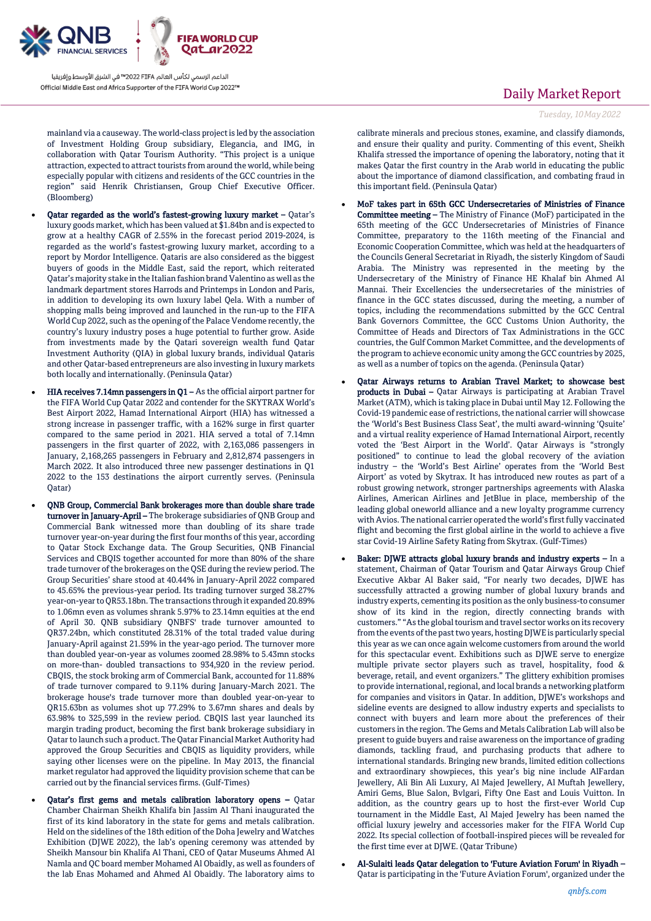

mainland via a causeway. The world-class project is led by the association of Investment Holding Group subsidiary, Elegancia, and IMG, in collaboration with Qatar Tourism Authority. "This project is a unique attraction, expected to attract tourists from around the world, while being especially popular with citizens and residents of the GCC countries in the region" said Henrik Christiansen, Group Chief Executive Officer. (Bloomberg)

- Qatar regarded as the world's fastest-growing luxury market Qatar's luxury goods market, which has been valued at \$1.84bn and is expected to grow at a healthy CAGR of 2.55% in the forecast period 2019-2024, is regarded as the world's fastest-growing luxury market, according to a report by Mordor Intelligence. Qataris are also considered as the biggest buyers of goods in the Middle East, said the report, which reiterated Qatar's majority stake in the Italian fashion brand Valentino as well as the landmark department stores Harrods and Printemps in London and Paris, in addition to developing its own luxury label Qela. With a number of shopping malls being improved and launched in the run-up to the FIFA World Cup 2022, such as the opening of the Palace Vendome recently, the country's luxury industry poses a huge potential to further grow. Aside from investments made by the Qatari sovereign wealth fund Qatar Investment Authority (QIA) in global luxury brands, individual Qataris and other Qatar-based entrepreneurs are also investing in luxury markets both locally and internationally. (Peninsula Qatar)
- HIA receives 7.14mn passengers in Q1 As the official airport partner for the FIFA World Cup Qatar 2022 and contender for the SKYTRAX World's Best Airport 2022, Hamad International Airport (HIA) has witnessed a strong increase in passenger traffic, with a 162% surge in first quarter compared to the same period in 2021. HIA served a total of 7.14mn passengers in the first quarter of 2022, with 2,163,086 passengers in January, 2,168,265 passengers in February and 2,812,874 passengers in March 2022. It also introduced three new passenger destinations in Q1 2022 to the 153 destinations the airport currently serves. (Peninsula Qatar)
- QNB Group, Commercial Bank brokerages more than double share trade turnover in January-April – The brokerage subsidiaries of QNB Group and Commercial Bank witnessed more than doubling of its share trade turnover year-on-year during the first four months of this year, according to Qatar Stock Exchange data. The Group Securities, QNB Financial Services and CBQIS together accounted for more than 80% of the share trade turnover of the brokerages on the QSE during the review period. The Group Securities' share stood at 40.44% in January-April 2022 compared to 45.65% the previous-year period. Its trading turnover surged 38.27% year-on-year to QR53.18bn. The transactions through it expanded 20.89% to 1.06mn even as volumes shrank 5.97% to 23.14mn equities at the end of April 30. QNB subsidiary QNBFS' trade turnover amounted to QR37.24bn, which constituted 28.31% of the total traded value during January-April against 21.59% in the year-ago period. The turnover more than doubled year-on-year as volumes zoomed 28.98% to 5.43mn stocks on more-than- doubled transactions to 934,920 in the review period. CBQIS, the stock broking arm of Commercial Bank, accounted for 11.88% of trade turnover compared to 9.11% during January-March 2021. The brokerage house's trade turnover more than doubled year-on-year to QR15.63bn as volumes shot up 77.29% to 3.67mn shares and deals by 63.98% to 325,599 in the review period. CBQIS last year launched its margin trading product, becoming the first bank brokerage subsidiary in Qatar to launch such a product. The Qatar Financial Market Authority had approved the Group Securities and CBQIS as liquidity providers, while saying other licenses were on the pipeline. In May 2013, the financial market regulator had approved the liquidity provision scheme that can be carried out by the financial services firms. (Gulf-Times)
- Qatar's first gems and metals calibration laboratory opens Qatar Chamber Chairman Sheikh Khalifa bin Jassim Al Thani inaugurated the first of its kind laboratory in the state for gems and metals calibration. Held on the sidelines of the 18th edition of the Doha Jewelry and Watches Exhibition (DJWE 2022), the lab's opening ceremony was attended by Sheikh Mansour bin Khalifa Al Thani, CEO of Qatar Museums Ahmed Al Namla and QC board member Mohamed Al Obaidly, as well as founders of the lab Enas Mohamed and Ahmed Al Obaidly. The laboratory aims to

## Daily Market Report

*Tuesday, 10May2022*

calibrate minerals and precious stones, examine, and classify diamonds, and ensure their quality and purity. Commenting of this event, Sheikh Khalifa stressed the importance of opening the laboratory, noting that it makes Qatar the first country in the Arab world in educating the public about the importance of diamond classification, and combating fraud in this important field. (Peninsula Qatar)

- MoF takes part in 65th GCC Undersecretaries of Ministries of Finance Committee meeting – The Ministry of Finance (MoF) participated in the 65th meeting of the GCC Undersecretaries of Ministries of Finance Committee, preparatory to the 116th meeting of the Financial and Economic Cooperation Committee, which was held at the headquarters of the Councils General Secretariat in Riyadh, the sisterly Kingdom of Saudi Arabia. The Ministry was represented in the meeting by the Undersecretary of the Ministry of Finance HE Khalaf bin Ahmed Al Mannai. Their Excellencies the undersecretaries of the ministries of finance in the GCC states discussed, during the meeting, a number of topics, including the recommendations submitted by the GCC Central Bank Governors Committee, the GCC Customs Union Authority, the Committee of Heads and Directors of Tax Administrations in the GCC countries, the Gulf Common Market Committee, and the developments of the program to achieve economic unity among the GCC countries by 2025, as well as a number of topics on the agenda. (Peninsula Qatar)
- Qatar Airways returns to Arabian Travel Market; to showcase best products in Dubai – Qatar Airways is participating at Arabian Travel Market (ATM), which is taking place in Dubai until May 12. Following the Covid-19 pandemic ease of restrictions, the national carrier will showcase the 'World's Best Business Class Seat', the multi award-winning 'Qsuite' and a virtual reality experience of Hamad International Airport, recently voted the 'Best Airport in the World'. Qatar Airways is "strongly positioned" to continue to lead the global recovery of the aviation industry – the 'World's Best Airline' operates from the 'World Best Airport' as voted by Skytrax. It has introduced new routes as part of a robust growing network, stronger partnerships agreements with Alaska Airlines, American Airlines and JetBlue in place, membership of the leading global oneworld alliance and a new loyalty programme currency with Avios. The national carrier operated the world's first fully vaccinated flight and becoming the first global airline in the world to achieve a five star Covid-19 Airline Safety Rating from Skytrax. (Gulf-Times)
- Baker: DJWE attracts global luxury brands and industry experts In a statement, Chairman of Qatar Tourism and Qatar Airways Group Chief Executive Akbar Al Baker said, "For nearly two decades, DJWE has successfully attracted a growing number of global luxury brands and industry experts, cementing its position as the only business-to consumer show of its kind in the region, directly connecting brands with customers." "As the global tourism and travel sector works on its recovery from the events of the past two years, hosting DJWE is particularly special this year as we can once again welcome customers from around the world for this spectacular event. Exhibitions such as DJWE serve to energize multiple private sector players such as travel, hospitality, food & beverage, retail, and event organizers." The glittery exhibition promises to provide international, regional, and local brands a networking platform for companies and visitors in Qatar. In addition, DJWE's workshops and sideline events are designed to allow industry experts and specialists to connect with buyers and learn more about the preferences of their customers in the region. The Gems and Metals Calibration Lab will also be present to guide buyers and raise awareness on the importance of grading diamonds, tackling fraud, and purchasing products that adhere to international standards. Bringing new brands, limited edition collections and extraordinary showpieces, this year's big nine include AlFardan Jewellery, Ali Bin Ali Luxury, Al Majed Jewellery, Al Muftah Jewellery, Amiri Gems, Blue Salon, Bvlgari, Fifty One East and Louis Vuitton. In addition, as the country gears up to host the first-ever World Cup tournament in the Middle East, Al Majed Jewelry has been named the official luxury jewelry and accessories maker for the FIFA World Cup 2022. Its special collection of football-inspired pieces will be revealed for the first time ever at DJWE. (Qatar Tribune)
- Al-Sulaiti leads Qatar delegation to 'Future Aviation Forum' in Riyadh Qatar is participating in the 'Future Aviation Forum', organized under the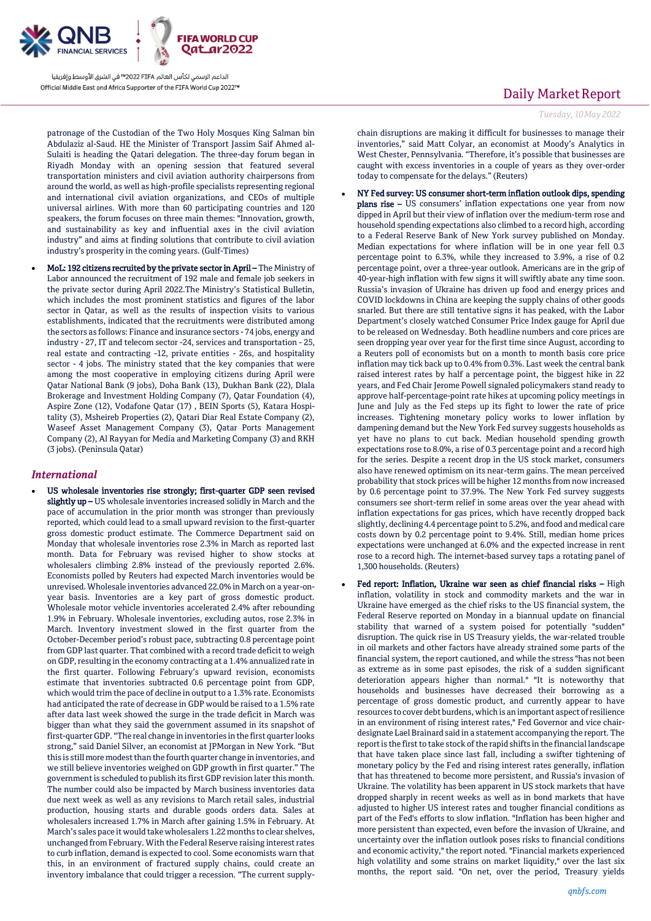

patronage of the Custodian of the Two Holy Mosques King Salman bin Abdulaziz al-Saud. HE the Minister of Transport Jassim Saif Ahmed al-Sulaiti is heading the Qatari delegation. The three-day forum began in Riyadh Monday with an opening session that featured several transportation ministers and civil aviation authority chairpersons from around the world, as well as high-profile specialists representing regional and international civil aviation organizations, and CEOs of multiple universal airlines. With more than 60 participating countries and 120 speakers, the forum focuses on three main themes: "Innovation, growth, and sustainability as key and influential axes in the civil aviation industry" and aims at finding solutions that contribute to civil aviation industry's prosperity in the coming years. (Gulf-Times)

 MoL: 192 citizens recruited by the private sector in April – The Ministry of Labor announced the recruitment of 192 male and female job seekers in the private sector during April 2022.The Ministry's Statistical Bulletin, which includes the most prominent statistics and figures of the labor sector in Qatar, as well as the results of inspection visits to various establishments, indicated that the recruitments were distributed among the sectors as follows: Finance and insurance sectors - 74 jobs, energy and industry - 27, IT and telecom sector -24, services and transportation - 25, real estate and contracting -12, private entities - 26s, and hospitality sector - 4 jobs. The ministry stated that the key companies that were among the most cooperative in employing citizens during April were Qatar National Bank (9 jobs), Doha Bank (13), Dukhan Bank (22), Dlala Brokerage and Investment Holding Company (7), Qatar Foundation (4), Aspire Zone (12), Vodafone Qatar (17) , BEIN Sports (5), Katara Hospitality (3), Msheireb Properties (2), Qatari Diar Real Estate Company (2), Waseef Asset Management Company (3), Qatar Ports Management Company (2), Al Rayyan for Media and Marketing Company (3) and RKH (3 jobs). (Peninsula Qatar)

### *International*

 US wholesale inventories rise strongly; first-quarter GDP seen revised slightly up – US wholesale inventories increased solidly in March and the pace of accumulation in the prior month was stronger than previously reported, which could lead to a small upward revision to the first-quarter gross domestic product estimate. The Commerce Department said on Monday that wholesale inventories rose 2.3% in March as reported last month. Data for February was revised higher to show stocks at wholesalers climbing 2.8% instead of the previously reported 2.6%. Economists polled by Reuters had expected March inventories would be unrevised. Wholesale inventories advanced 22.0% in March on a year-onyear basis. Inventories are a key part of gross domestic product. Wholesale motor vehicle inventories accelerated 2.4% after rebounding 1.9% in February. Wholesale inventories, excluding autos, rose 2.3% in March. Inventory investment slowed in the first quarter from the October-December period's robust pace, subtracting 0.8 percentage point from GDP last quarter. That combined with a record trade deficit to weigh on GDP, resulting in the economy contracting at a 1.4% annualized rate in the first quarter. Following February's upward revision, economists estimate that inventories subtracted 0.6 percentage point from GDP, which would trim the pace of decline in output to a 1.3% rate. Economists had anticipated the rate of decrease in GDP would be raised to a 1.5% rate after data last week showed the surge in the trade deficit in March was bigger than what they said the government assumed in its snapshot of first-quarter GDP. "The real change in inventories in the first quarter looks strong," said Daniel Silver, an economist at JPMorgan in New York. "But this is still more modest than the fourth quarter change in inventories, and we still believe inventories weighed on GDP growth in first quarter." The government is scheduled to publish its first GDP revision later this month. The number could also be impacted by March business inventories data due next week as well as any revisions to March retail sales, industrial production, housing starts and durable goods orders data. Sales at wholesalers increased 1.7% in March after gaining 1.5% in February. At March's sales pace it would take wholesalers 1.22 months to clear shelves, unchanged from February. With the Federal Reserve raising interest rates to curb inflation, demand is expected to cool. Some economists warn that this, in an environment of fractured supply chains, could create an inventory imbalance that could trigger a recession. "The current supply-

## Daily Market Report

*Tuesday, 10May2022*

chain disruptions are making it difficult for businesses to manage their inventories," said Matt Colyar, an economist at Moody's Analytics in West Chester, Pennsylvania. "Therefore, it's possible that businesses are caught with excess inventories in a couple of years as they over-order today to compensate for the delays." (Reuters)

- NY Fed survey: US consumer short-term inflation outlook dips, spending **plans rise –** US consumers' inflation expectations one year from now dipped in April but their view of inflation over the medium-term rose and household spending expectations also climbed to a record high, according to a Federal Reserve Bank of New York survey published on Monday. Median expectations for where inflation will be in one year fell 0.3 percentage point to 6.3%, while they increased to 3.9%, a rise of 0.2 percentage point, over a three-year outlook. Americans are in the grip of 40-year-high inflation with few signs it will swiftly abate any time soon. Russia's invasion of Ukraine has driven up food and energy prices and COVID lockdowns in China are keeping the supply chains of other goods snarled. But there are still tentative signs it has peaked, with the Labor Department's closely watched Consumer Price Index gauge for April due to be released on Wednesday. Both headline numbers and core prices are seen dropping year over year for the first time since August, according to a Reuters poll of economists but on a month to month basis core price inflation may tick back up to 0.4% from 0.3%. Last week the central bank raised interest rates by half a percentage point, the biggest hike in 22 years, and Fed Chair Jerome Powell signaled policymakers stand ready to approve half-percentage-point rate hikes at upcoming policy meetings in June and July as the Fed steps up its fight to lower the rate of price increases. Tightening monetary policy works to lower inflation by dampening demand but the New York Fed survey suggests households as yet have no plans to cut back. Median household spending growth expectations rose to 8.0%, a rise of 0.3 percentage point and a record high for the series. Despite a recent drop in the US stock market, consumers also have renewed optimism on its near-term gains. The mean perceived probability that stock prices will be higher 12 months from now increased by 0.6 percentage point to 37.9%. The New York Fed survey suggests consumers see short-term relief in some areas over the year ahead with inflation expectations for gas prices, which have recently dropped back slightly, declining 4.4 percentage point to 5.2%, and food and medical care costs down by 0.2 percentage point to 9.4%. Still, median home prices expectations were unchanged at 6.0% and the expected increase in rent rose to a record high. The internet-based survey taps a rotating panel of 1,300 households. (Reuters)
- Fed report: Inflation, Ukraine war seen as chief financial risks High inflation, volatility in stock and commodity markets and the war in Ukraine have emerged as the chief risks to the US financial system, the Federal Reserve reported on Monday in a biannual update on financial stability that warned of a system poised for potentially "sudden" disruption. The quick rise in US Treasury yields, the war-related trouble in oil markets and other factors have already strained some parts of the financial system, the report cautioned, and while the stress "has not been as extreme as in some past episodes, the risk of a sudden significant deterioration appears higher than normal." "It is noteworthy that households and businesses have decreased their borrowing as a percentage of gross domestic product, and currently appear to have resources to cover debt burdens, which is an important aspect of resilience in an environment of rising interest rates," Fed Governor and vice chairdesignate Lael Brainard said in a statement accompanying the report. The report is the first to take stock of the rapid shifts in the financial landscape that have taken place since last fall, including a swifter tightening of monetary policy by the Fed and rising interest rates generally, inflation that has threatened to become more persistent, and Russia's invasion of Ukraine. The volatility has been apparent in US stock markets that have dropped sharply in recent weeks as well as in bond markets that have adjusted to higher US interest rates and tougher financial conditions as part of the Fed's efforts to slow inflation. "Inflation has been higher and more persistent than expected, even before the invasion of Ukraine, and uncertainty over the inflation outlook poses risks to financial conditions and economic activity," the report noted. "Financial markets experienced high volatility and some strains on market liquidity," over the last six months, the report said. "On net, over the period, Treasury yields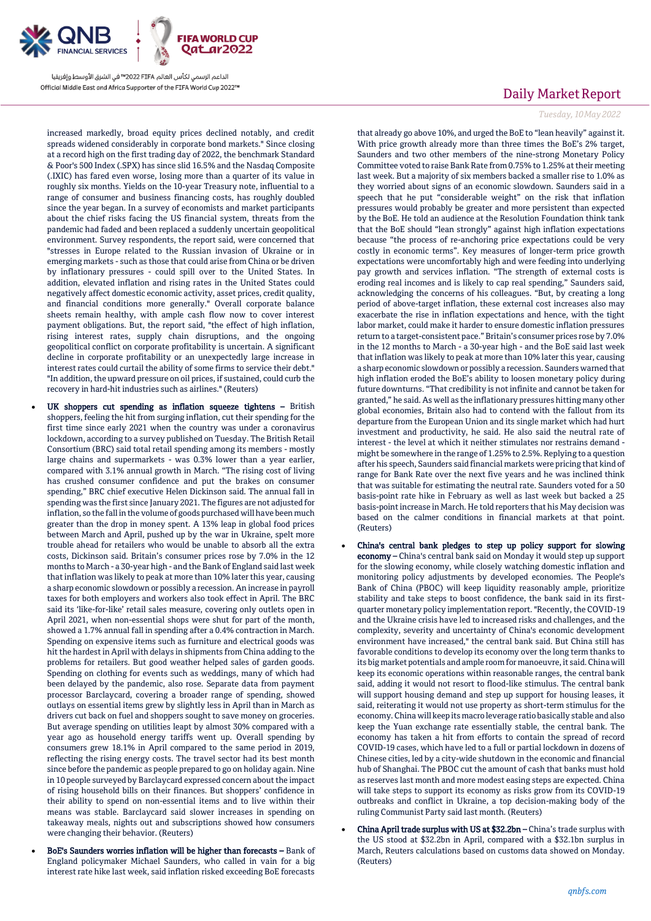

increased markedly, broad equity prices declined notably, and credit spreads widened considerably in corporate bond markets." Since closing at a record high on the first trading day of 2022, the benchmark Standard & Poor's 500 Index (.SPX) has since slid 16.5% and the Nasdaq Composite (.IXIC) has fared even worse, losing more than a quarter of its value in roughly six months. Yields on the 10-year Treasury note, influential to a range of consumer and business financing costs, has roughly doubled since the year began. In a survey of economists and market participants about the chief risks facing the US financial system, threats from the pandemic had faded and been replaced a suddenly uncertain geopolitical environment. Survey respondents, the report said, were concerned that "stresses in Europe related to the Russian invasion of Ukraine or in emerging markets - such as those that could arise from China or be driven by inflationary pressures - could spill over to the United States. In addition, elevated inflation and rising rates in the United States could negatively affect domestic economic activity, asset prices, credit quality, and financial conditions more generally." Overall corporate balance sheets remain healthy, with ample cash flow now to cover interest payment obligations. But, the report said, "the effect of high inflation, rising interest rates, supply chain disruptions, and the ongoing geopolitical conflict on corporate profitability is uncertain. A significant decline in corporate profitability or an unexpectedly large increase in interest rates could curtail the ability of some firms to service their debt." "In addition, the upward pressure on oil prices, if sustained, could curb the recovery in hard-hit industries such as airlines." (Reuters)

- UK shoppers cut spending as inflation squeeze tightens British shoppers, feeling the hit from surging inflation, cut their spending for the first time since early 2021 when the country was under a coronavirus lockdown, according to a survey published on Tuesday. The British Retail Consortium (BRC) said total retail spending among its members - mostly large chains and supermarkets - was 0.3% lower than a year earlier, compared with 3.1% annual growth in March. "The rising cost of living has crushed consumer confidence and put the brakes on consumer spending," BRC chief executive Helen Dickinson said. The annual fall in spending was the first since January 2021. The figures are not adjusted for inflation, so the fall in the volume of goods purchased will have been much greater than the drop in money spent. A 13% leap in global food prices between March and April, pushed up by the war in Ukraine, spelt more trouble ahead for retailers who would be unable to absorb all the extra costs, Dickinson said. Britain's consumer prices rose by 7.0% in the 12 months to March - a 30-year high - and the Bank of England said last week that inflation was likely to peak at more than 10% later this year, causing a sharp economic slowdown or possibly a recession. An increase in payroll taxes for both employers and workers also took effect in April. The BRC said its 'like-for-like' retail sales measure, covering only outlets open in April 2021, when non-essential shops were shut for part of the month, showed a 1.7% annual fall in spending after a 0.4% contraction in March. Spending on expensive items such as furniture and electrical goods was hit the hardest in April with delays in shipments from China adding to the problems for retailers. But good weather helped sales of garden goods. Spending on clothing for events such as weddings, many of which had been delayed by the pandemic, also rose. Separate data from payment processor Barclaycard, covering a broader range of spending, showed outlays on essential items grew by slightly less in April than in March as drivers cut back on fuel and shoppers sought to save money on groceries. But average spending on utilities leapt by almost 30% compared with a year ago as household energy tariffs went up. Overall spending by consumers grew 18.1% in April compared to the same period in 2019, reflecting the rising energy costs. The travel sector had its best month since before the pandemic as people prepared to go on holiday again. Nine in 10 people surveyed by Barclaycard expressed concern about the impact of rising household bills on their finances. But shoppers' confidence in their ability to spend on non-essential items and to live within their means was stable. Barclaycard said slower increases in spending on takeaway meals, nights out and subscriptions showed how consumers were changing their behavior. (Reuters)
	- BoE's Saunders worries inflation will be higher than forecasts Bank of England policymaker Michael Saunders, who called in vain for a big interest rate hike last week, said inflation risked exceeding BoE forecasts

# Daily Market Report

### *Tuesday, 10May2022*

that already go above 10%, and urged the BoE to "lean heavily" against it. With price growth already more than three times the BoE's 2% target, Saunders and two other members of the nine-strong Monetary Policy Committee voted to raise Bank Rate from 0.75% to 1.25% at their meeting last week. But a majority of six members backed a smaller rise to 1.0% as they worried about signs of an economic slowdown. Saunders said in a speech that he put "considerable weight" on the risk that inflation pressures would probably be greater and more persistent than expected by the BoE. He told an audience at the Resolution Foundation think tank that the BoE should "lean strongly" against high inflation expectations because "the process of re-anchoring price expectations could be very costly in economic terms". Key measures of longer-term price growth expectations were uncomfortably high and were feeding into underlying pay growth and services inflation. "The strength of external costs is eroding real incomes and is likely to cap real spending," Saunders said, acknowledging the concerns of his colleagues. "But, by creating a long period of above-target inflation, these external cost increases also may exacerbate the rise in inflation expectations and hence, with the tight labor market, could make it harder to ensure domestic inflation pressures return to a target-consistent pace." Britain's consumer prices rose by 7.0% in the 12 months to March - a 30-year high - and the BoE said last week that inflation was likely to peak at more than 10% later this year, causing a sharp economic slowdown or possibly a recession. Saunders warned that high inflation eroded the BoE's ability to loosen monetary policy during future downturns. "That credibility is not infinite and cannot be taken for granted," he said. As well as the inflationary pressures hitting many other global economies, Britain also had to contend with the fallout from its departure from the European Union and its single market which had hurt investment and productivity, he said. He also said the neutral rate of interest - the level at which it neither stimulates nor restrains demand might be somewhere in the range of 1.25% to 2.5%. Replying to a question after his speech, Saunders said financial markets were pricing that kind of range for Bank Rate over the next five years and he was inclined think that was suitable for estimating the neutral rate. Saunders voted for a 50 basis-point rate hike in February as well as last week but backed a 25 basis-point increase in March. He told reporters that his May decision was based on the calmer conditions in financial markets at that point. (Reuters)

- China's central bank pledges to step up policy support for slowing economy – China's central bank said on Monday it would step up support for the slowing economy, while closely watching domestic inflation and monitoring policy adjustments by developed economies. The People's Bank of China (PBOC) will keep liquidity reasonably ample, prioritize stability and take steps to boost confidence, the bank said in its firstquarter monetary policy implementation report. "Recently, the COVID-19 and the Ukraine crisis have led to increased risks and challenges, and the complexity, severity and uncertainty of China's economic development environment have increased," the central bank said. But China still has favorable conditions to develop its economy over the long term thanks to its big market potentials and ample room for manoeuvre, it said. China will keep its economic operations within reasonable ranges, the central bank said, adding it would not resort to flood-like stimulus. The central bank will support housing demand and step up support for housing leases, it said, reiterating it would not use property as short-term stimulus for the economy. China will keep its macro leverage ratio basically stable and also keep the Yuan exchange rate essentially stable, the central bank. The economy has taken a hit from efforts to contain the spread of record COVID-19 cases, which have led to a full or partial lockdown in dozens of Chinese cities, led by a city-wide shutdown in the economic and financial hub of Shanghai. The PBOC cut the amount of cash that banks must hold as reserves last month and more modest easing steps are expected. China will take steps to support its economy as risks grow from its COVID-19 outbreaks and conflict in Ukraine, a top decision-making body of the ruling Communist Party said last month. (Reuters)
- China April trade surplus with US at \$32.2bn China's trade surplus with the US stood at \$32.2bn in April, compared with a \$32.1bn surplus in March, Reuters calculations based on customs data showed on Monday. (Reuters)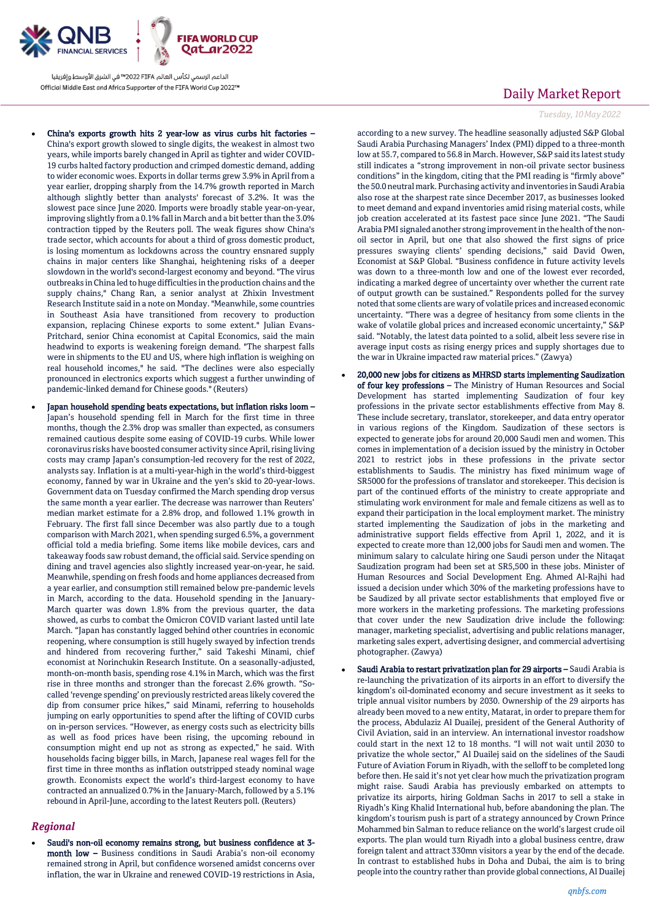

- China's exports growth hits 2 year-low as virus curbs hit factories China's export growth slowed to single digits, the weakest in almost two years, while imports barely changed in April as tighter and wider COVID-19 curbs halted factory production and crimped domestic demand, adding to wider economic woes. Exports in dollar terms grew 3.9% in April from a year earlier, dropping sharply from the 14.7% growth reported in March although slightly better than analysts' forecast of 3.2%. It was the slowest pace since June 2020. Imports were broadly stable year-on-year, improving slightly from a 0.1% fall in March and a bit better than the 3.0% contraction tipped by the Reuters poll. The weak figures show China's trade sector, which accounts for about a third of gross domestic product, is losing momentum as lockdowns across the country ensnared supply chains in major centers like Shanghai, heightening risks of a deeper slowdown in the world's second-largest economy and beyond. "The virus outbreaks in China led to huge difficulties in the production chains and the supply chains," Chang Ran, a senior analyst at Zhixin Investment Research Institute said in a note on Monday. "Meanwhile, some countries in Southeast Asia have transitioned from recovery to production expansion, replacing Chinese exports to some extent." Julian Evans-Pritchard, senior China economist at Capital Economics, said the main headwind to exports is weakening foreign demand. "The sharpest falls were in shipments to the EU and US, where high inflation is weighing on real household incomes," he said. "The declines were also especially pronounced in electronics exports which suggest a further unwinding of pandemic-linked demand for Chinese goods." (Reuters)
- Japan household spending beats expectations, but inflation risks loom Japan's household spending fell in March for the first time in three months, though the 2.3% drop was smaller than expected, as consumers remained cautious despite some easing of COVID-19 curbs. While lower coronavirus risks have boosted consumer activity since April, rising living costs may cramp Japan's consumption-led recovery for the rest of 2022, analysts say. Inflation is at a multi-year-high in the world's third-biggest economy, fanned by war in Ukraine and the yen's skid to 20-year-lows. Government data on Tuesday confirmed the March spending drop versus the same month a year earlier. The decrease was narrower than Reuters' median market estimate for a 2.8% drop, and followed 1.1% growth in February. The first fall since December was also partly due to a tough comparison with March 2021, when spending surged 6.5%, a government official told a media briefing. Some items like mobile devices, cars and takeaway foods saw robust demand, the official said. Service spending on dining and travel agencies also slightly increased year-on-year, he said. Meanwhile, spending on fresh foods and home appliances decreased from a year earlier, and consumption still remained below pre-pandemic levels in March, according to the data. Household spending in the January-March quarter was down 1.8% from the previous quarter, the data showed, as curbs to combat the Omicron COVID variant lasted until late March. "Japan has constantly lagged behind other countries in economic reopening, where consumption is still hugely swayed by infection trends and hindered from recovering further," said Takeshi Minami, chief economist at Norinchukin Research Institute. On a seasonally-adjusted, month-on-month basis, spending rose 4.1% in March, which was the first rise in three months and stronger than the forecast 2.6% growth. "Socalled 'revenge spending' on previously restricted areas likely covered the dip from consumer price hikes," said Minami, referring to households jumping on early opportunities to spend after the lifting of COVID curbs on in-person services. "However, as energy costs such as electricity bills as well as food prices have been rising, the upcoming rebound in consumption might end up not as strong as expected," he said. With households facing bigger bills, in March, Japanese real wages fell for the first time in three months as inflation outstripped steady nominal wage growth. Economists expect the world's third-largest economy to have contracted an annualized 0.7% in the January-March, followed by a 5.1% rebound in April-June, according to the latest Reuters poll. (Reuters)

#### *Regional*

 Saudi's non-oil economy remains strong, but business confidence at 3 month low – Business conditions in Saudi Arabia's non-oil economy remained strong in April, but confidence worsened amidst concerns over inflation, the war in Ukraine and renewed COVID-19 restrictions in Asia,

# Daily Market Report

### *Tuesday, 10May2022*

according to a new survey. The headline seasonally adjusted S&P Global Saudi Arabia Purchasing Managers' Index (PMI) dipped to a three-month low at 55.7, compared to 56.8 in March. However, S&P said its latest study still indicates a "strong improvement in non-oil private sector business conditions" in the kingdom, citing that the PMI reading is "firmly above" the 50.0 neutral mark. Purchasing activity and inventories in Saudi Arabia also rose at the sharpest rate since December 2017, as businesses looked to meet demand and expand inventories amid rising material costs, while job creation accelerated at its fastest pace since June 2021. "The Saudi Arabia PMI signaled another strong improvement in the health of the nonoil sector in April, but one that also showed the first signs of price pressures swaying clients' spending decisions," said David Owen, Economist at S&P Global. "Business confidence in future activity levels was down to a three-month low and one of the lowest ever recorded, indicating a marked degree of uncertainty over whether the current rate of output growth can be sustained." Respondents polled for the survey noted that some clients are wary of volatile prices and increased economic uncertainty. "There was a degree of hesitancy from some clients in the wake of volatile global prices and increased economic uncertainty," S&P said. "Notably, the latest data pointed to a solid, albeit less severe rise in average input costs as rising energy prices and supply shortages due to the war in Ukraine impacted raw material prices." (Zawya)

- 20,000 new jobs for citizens as MHRSD starts implementing Saudization of four key professions – The Ministry of Human Resources and Social Development has started implementing Saudization of four key professions in the private sector establishments effective from May 8. These include secretary, translator, storekeeper, and data entry operator in various regions of the Kingdom. Saudization of these sectors is expected to generate jobs for around 20,000 Saudi men and women. This comes in implementation of a decision issued by the ministry in October 2021 to restrict jobs in these professions in the private sector establishments to Saudis. The ministry has fixed minimum wage of SR5000 for the professions of translator and storekeeper. This decision is part of the continued efforts of the ministry to create appropriate and stimulating work environment for male and female citizens as well as to expand their participation in the local employment market. The ministry started implementing the Saudization of jobs in the marketing and administrative support fields effective from April 1, 2022, and it is expected to create more than 12,000 jobs for Saudi men and women. The minimum salary to calculate hiring one Saudi person under the Nitaqat Saudization program had been set at SR5,500 in these jobs. Minister of Human Resources and Social Development Eng. Ahmed Al-Rajhi had issued a decision under which 30% of the marketing professions have to be Saudized by all private sector establishments that employed five or more workers in the marketing professions. The marketing professions that cover under the new Saudization drive include the following: manager, marketing specialist, advertising and public relations manager, marketing sales expert, advertising designer, and commercial advertising photographer. (Zawya)
- Saudi Arabia to restart privatization plan for 29 airports Saudi Arabia is re-launching the privatization of its airports in an effort to diversify the kingdom's oil-dominated economy and secure investment as it seeks to triple annual visitor numbers by 2030. Ownership of the 29 airports has already been moved to a new entity, Matarat, in order to prepare them for the process, Abdulaziz Al Duailej, president of the General Authority of Civil Aviation, said in an interview. An international investor roadshow could start in the next 12 to 18 months. "I will not wait until 2030 to privatize the whole sector," Al Duailej said on the sidelines of the Saudi Future of Aviation Forum in Riyadh, with the selloff to be completed long before then. He said it's not yet clear how much the privatization program might raise. Saudi Arabia has previously embarked on attempts to privatize its airports, hiring Goldman Sachs in 2017 to sell a stake in Riyadh's King Khalid International hub, before abandoning the plan. The kingdom's tourism push is part of a strategy announced by Crown Prince Mohammed bin Salman to reduce reliance on the world's largest crude oil exports. The plan would turn Riyadh into a global business centre, draw foreign talent and attract 330mn visitors a year by the end of the decade. In contrast to established hubs in Doha and Dubai, the aim is to bring people into the country rather than provide global connections, Al Duailej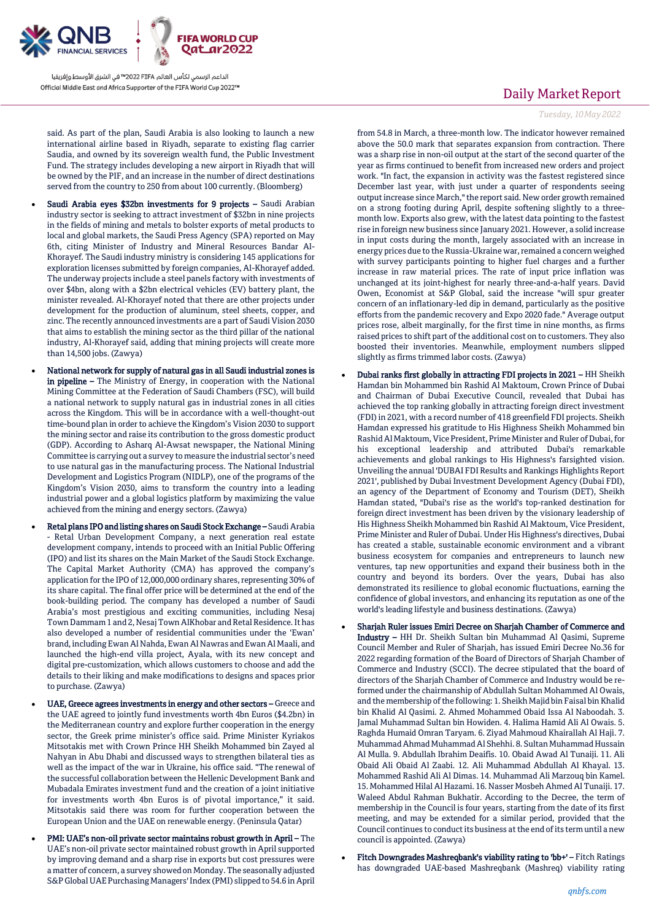

said. As part of the plan, Saudi Arabia is also looking to launch a new international airline based in Riyadh, separate to existing flag carrier Saudia, and owned by its sovereign wealth fund, the Public Investment Fund. The strategy includes developing a new airport in Riyadh that will be owned by the PIF, and an increase in the number of direct destinations served from the country to 250 from about 100 currently. (Bloomberg)

- Saudi Arabia eyes \$32bn investments for 9 projects Saudi Arabian industry sector is seeking to attract investment of \$32bn in nine projects in the fields of mining and metals to bolster exports of metal products to local and global markets, the Saudi Press Agency (SPA) reported on May 6th, citing Minister of Industry and Mineral Resources Bandar Al-Khorayef. The Saudi industry ministry is considering 145 applications for exploration licenses submitted by foreign companies, Al-Khorayef added. The underway projects include a steel panels factory with investments of over \$4bn, along with a \$2bn electrical vehicles (EV) battery plant, the minister revealed. Al-Khorayef noted that there are other projects under development for the production of aluminum, steel sheets, copper, and zinc. The recently announced investments are a part of Saudi Vision 2030 that aims to establish the mining sector as the third pillar of the national industry, Al-Khorayef said, adding that mining projects will create more than 14,500 jobs. (Zawya)
- National network for supply of natural gas in all Saudi industrial zones is in pipeline – The Ministry of Energy, in cooperation with the National Mining Committee at the Federation of Saudi Chambers (FSC), will build a national network to supply natural gas in industrial zones in all cities across the Kingdom. This will be in accordance with a well-thought-out time-bound plan in order to achieve the Kingdom's Vision 2030 to support the mining sector and raise its contribution to the gross domestic product (GDP). According to Asharq Al-Awsat newspaper, the National Mining Committee is carrying out a survey to measure the industrial sector's need to use natural gas in the manufacturing process. The National Industrial Development and Logistics Program (NIDLP), one of the programs of the Kingdom's Vision 2030, aims to transform the country into a leading industrial power and a global logistics platform by maximizing the value achieved from the mining and energy sectors. (Zawya)
- Retal plans IPO and listing shares on Saudi Stock Exchange Saudi Arabia - Retal Urban Development Company, a next generation real estate development company, intends to proceed with an Initial Public Offering (IPO) and list its shares on the Main Market of the Saudi Stock Exchange. The Capital Market Authority (CMA) has approved the company's application for the IPO of 12,000,000 ordinary shares, representing 30% of its share capital. The final offer price will be determined at the end of the book-building period. The company has developed a number of Saudi Arabia's most prestigious and exciting communities, including Nesaj Town Dammam 1 and 2, Nesaj Town AlKhobar and Retal Residence. It has also developed a number of residential communities under the 'Ewan' brand, including Ewan Al Nahda, Ewan Al Nawras and Ewan Al Maali, and launched the high-end villa project, Ayala, with its new concept and digital pre-customization, which allows customers to choose and add the details to their liking and make modifications to designs and spaces prior to purchase. (Zawya)
- UAE, Greece agrees investments in energy and other sectors Greece and the UAE agreed to jointly fund investments worth 4bn Euros (\$4.2bn) in the Mediterranean country and explore further cooperation in the energy sector, the Greek prime minister's office said. Prime Minister Kyriakos Mitsotakis met with Crown Prince HH Sheikh Mohammed bin Zayed al Nahyan in Abu Dhabi and discussed ways to strengthen bilateral ties as well as the impact of the war in Ukraine, his office said. "The renewal of the successful collaboration between the Hellenic Development Bank and Mubadala Emirates investment fund and the creation of a joint initiative for investments worth 4bn Euros is of pivotal importance," it said. Mitsotakis said there was room for further cooperation between the European Union and the UAE on renewable energy. (Peninsula Qatar)
- PMI: UAE's non-oil private sector maintains robust growth in April The UAE's non-oil private sector maintained robust growth in April supported by improving demand and a sharp rise in exports but cost pressures were a matter of concern, a survey showed on Monday. The seasonally adjusted S&P Global UAE Purchasing Managers' Index (PMI) slipped to 54.6 in April

# Daily Market Report

### *Tuesday, 10May2022*

from 54.8 in March, a three-month low. The indicator however remained above the 50.0 mark that separates expansion from contraction. There was a sharp rise in non-oil output at the start of the second quarter of the year as firms continued to benefit from increased new orders and project work. "In fact, the expansion in activity was the fastest registered since December last year, with just under a quarter of respondents seeing output increase since March," the report said. New order growth remained on a strong footing during April, despite softening slightly to a threemonth low. Exports also grew, with the latest data pointing to the fastest rise in foreign new business since January 2021. However, a solid increase in input costs during the month, largely associated with an increase in energy prices due to the Russia-Ukraine war, remained a concern weighed with survey participants pointing to higher fuel charges and a further increase in raw material prices. The rate of input price inflation was unchanged at its joint-highest for nearly three-and-a-half years. David Owen, Economist at S&P Global, said the increase "will spur greater concern of an inflationary-led dip in demand, particularly as the positive efforts from the pandemic recovery and Expo 2020 fade." Average output prices rose, albeit marginally, for the first time in nine months, as firms raised prices to shift part of the additional cost on to customers. They also boosted their inventories. Meanwhile, employment numbers slipped slightly as firms trimmed labor costs. (Zawya)

- Dubai ranks first globally in attracting FDI projects in 2021 HH Sheikh Hamdan bin Mohammed bin Rashid Al Maktoum, Crown Prince of Dubai and Chairman of Dubai Executive Council, revealed that Dubai has achieved the top ranking globally in attracting foreign direct investment (FDI) in 2021, with a record number of 418 greenfield FDI projects. Sheikh Hamdan expressed his gratitude to His Highness Sheikh Mohammed bin Rashid Al Maktoum, Vice President, Prime Minister and Ruler of Dubai, for his exceptional leadership and attributed Dubai's remarkable achievements and global rankings to His Highness's farsighted vision. Unveiling the annual 'DUBAI FDI Results and Rankings Highlights Report 2021', published by Dubai Investment Development Agency (Dubai FDI), an agency of the Department of Economy and Tourism (DET), Sheikh Hamdan stated, "Dubai's rise as the world's top-ranked destination for foreign direct investment has been driven by the visionary leadership of His Highness Sheikh Mohammed bin Rashid Al Maktoum, Vice President, Prime Minister and Ruler of Dubai. Under His Highness's directives, Dubai has created a stable, sustainable economic environment and a vibrant business ecosystem for companies and entrepreneurs to launch new ventures, tap new opportunities and expand their business both in the country and beyond its borders. Over the years, Dubai has also demonstrated its resilience to global economic fluctuations, earning the confidence of global investors, and enhancing its reputation as one of the world's leading lifestyle and business destinations. (Zawya)
- Sharjah Ruler issues Emiri Decree on Sharjah Chamber of Commerce and Industry – HH Dr. Sheikh Sultan bin Muhammad Al Qasimi, Supreme Council Member and Ruler of Sharjah, has issued Emiri Decree No.36 for 2022 regarding formation of the Board of Directors of Sharjah Chamber of Commerce and Industry (SCCI). The decree stipulated that the board of directors of the Sharjah Chamber of Commerce and Industry would be reformed under the chairmanship of Abdullah Sultan Mohammed Al Owais, and the membership of the following: 1. Sheikh Majid bin Faisal bin Khalid bin Khalid Al Qasimi. 2. Ahmed Mohammed Obaid Issa Al Naboodah. 3. Jamal Muhammad Sultan bin Howiden. 4. Halima Hamid Ali Al Owais. 5. Raghda Humaid Omran Taryam. 6. Ziyad Mahmoud Khairallah Al Haji. 7. Muhammad Ahmad Muhammad Al Shehhi. 8. Sultan Muhammad Hussain Al Mulla. 9. Abdullah Ibrahim Deaifis. 10. Obaid Awad Al Tunaiji. 11. Ali Obaid Ali Obaid Al Zaabi. 12. Ali Muhammad Abdullah Al Khayal. 13. Mohammed Rashid Ali Al Dimas. 14. Muhammad Ali Marzouq bin Kamel. 15. Mohammed Hilal Al Hazami. 16. Nasser Mosbeh Ahmed Al Tunaiji. 17. Waleed Abdul Rahman Bukhatir. According to the Decree, the term of membership in the Council is four years, starting from the date of its first meeting, and may be extended for a similar period, provided that the Council continues to conduct its business at the end of its term until a new council is appointed. (Zawya)
- Fitch Downgrades Mashreqbank's viability rating to 'bb+' Fitch Ratings has downgraded UAE-based Mashreqbank (Mashreq) viability rating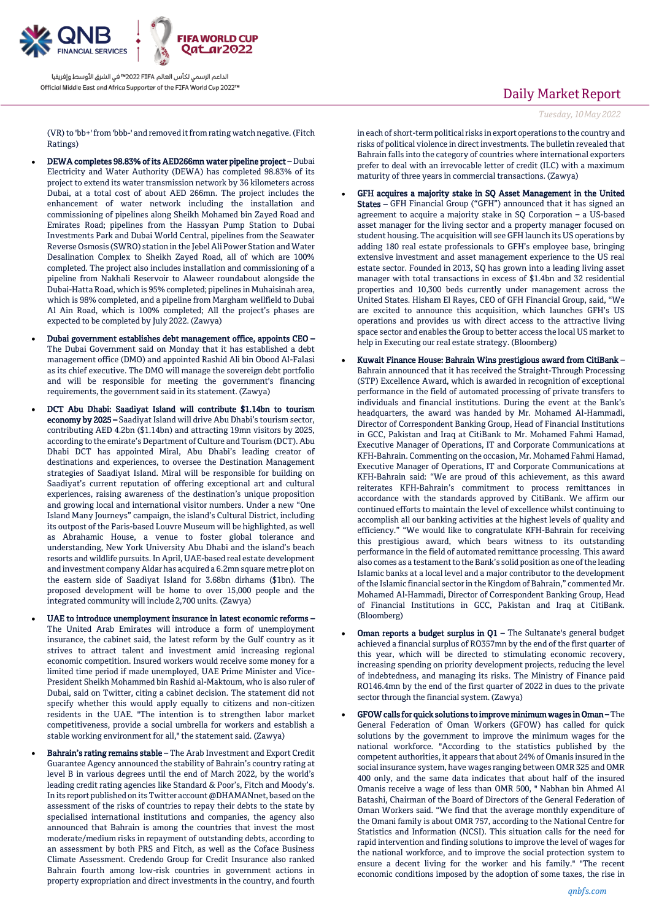

(VR) to 'bb+' from 'bbb-' and removed it from rating watch negative. (Fitch Ratings)

- DEWA completes 98.83% of its AED266mn water pipeline project Dubai Electricity and Water Authority (DEWA) has completed 98.83% of its project to extend its water transmission network by 36 kilometers across Dubai, at a total cost of about AED 266mn. The project includes the enhancement of water network including the installation and commissioning of pipelines along Sheikh Mohamed bin Zayed Road and Emirates Road; pipelines from the Hassyan Pump Station to Dubai Investments Park and Dubai World Central, pipelines from the Seawater Reverse Osmosis (SWRO) station in the Jebel Ali Power Station and Water Desalination Complex to Sheikh Zayed Road, all of which are 100% completed. The project also includes installation and commissioning of a pipeline from Nakhali Reservoir to Alaweer roundabout alongside the Dubai-Hatta Road, which is 95% completed; pipelines in Muhaisinah area, which is 98% completed, and a pipeline from Margham wellfield to Dubai Al Ain Road, which is 100% completed; All the project's phases are expected to be completed by July 2022. (Zawya)
- Dubai government establishes debt management office, appoints CEO The Dubai Government said on Monday that it has established a debt management office (DMO) and appointed Rashid Ali bin Obood Al-Falasi as its chief executive. The DMO will manage the sovereign debt portfolio and will be responsible for meeting the government's financing requirements, the government said in its statement. (Zawya)
- DCT Abu Dhabi: Saadiyat Island will contribute \$1.14bn to tourism economy by 2025 – Saadiyat Island will drive Abu Dhabi's tourism sector, contributing AED 4.2bn (\$1.14bn) and attracting 19mn visitors by 2025, according to the emirate's Department of Culture and Tourism (DCT). Abu Dhabi DCT has appointed Miral, Abu Dhabi's leading creator of destinations and experiences, to oversee the Destination Management strategies of Saadiyat Island. Miral will be responsible for building on Saadiyat's current reputation of offering exceptional art and cultural experiences, raising awareness of the destination's unique proposition and growing local and international visitor numbers. Under a new "One Island Many Journeys" campaign, the island's Cultural District, including its outpost of the Paris-based Louvre Museum will be highlighted, as well as Abrahamic House, a venue to foster global tolerance and understanding, New York University Abu Dhabi and the island's beach resorts and wildlife pursuits. In April, UAE-based real estate development and investment company Aldar has acquired a 6.2mn square metre plot on the eastern side of Saadiyat Island for 3.68bn dirhams (\$1bn). The proposed development will be home to over 15,000 people and the integrated community will include 2,700 units. (Zawya)
- UAE to introduce unemployment insurance in latest economic reforms The United Arab Emirates will introduce a form of unemployment insurance, the cabinet said, the latest reform by the Gulf country as it strives to attract talent and investment amid increasing regional economic competition. Insured workers would receive some money for a limited time period if made unemployed, UAE Prime Minister and Vice-President Sheikh Mohammed bin Rashid al-Maktoum, who is also ruler of Dubai, said on Twitter, citing a cabinet decision. The statement did not specify whether this would apply equally to citizens and non-citizen residents in the UAE. "The intention is to strengthen labor market competitiveness, provide a social umbrella for workers and establish a stable working environment for all," the statement said. (Zawya)
- Bahrain's rating remains stable The Arab Investment and Export Credit Guarantee Agency announced the stability of Bahrain's country rating at level B in various degrees until the end of March 2022, by the world's leading credit rating agencies like Standard & Poor's, Fitch and Moody's. In its report published on its Twitter account @DHAMANnet, based on the assessment of the risks of countries to repay their debts to the state by specialised international institutions and companies, the agency also announced that Bahrain is among the countries that invest the most moderate/medium risks in repayment of outstanding debts, according to an assessment by both PRS and Fitch, as well as the Coface Business Climate Assessment. Credendo Group for Credit Insurance also ranked Bahrain fourth among low-risk countries in government actions in property expropriation and direct investments in the country, and fourth

# Daily Market Report

*Tuesday, 10May2022*

in each of short-term political risks in export operations to the country and risks of political violence in direct investments. The bulletin revealed that Bahrain falls into the category of countries where international exporters prefer to deal with an irrevocable letter of credit (ILC) with a maximum maturity of three years in commercial transactions. (Zawya)

- GFH acquires a majority stake in SQ Asset Management in the United States – GFH Financial Group ("GFH") announced that it has signed an agreement to acquire a majority stake in SQ Corporation – a US-based asset manager for the living sector and a property manager focused on student housing. The acquisition will see GFH launch its US operations by adding 180 real estate professionals to GFH's employee base, bringing extensive investment and asset management experience to the US real estate sector. Founded in 2013, SQ has grown into a leading living asset manager with total transactions in excess of \$1.4bn and 32 residential properties and 10,300 beds currently under management across the United States. Hisham El Rayes, CEO of GFH Financial Group, said, "We are excited to announce this acquisition, which launches GFH's US operations and provides us with direct access to the attractive living space sector and enables the Group to better access the local US market to help in Executing our real estate strategy. (Bloomberg)
- Kuwait Finance House: Bahrain Wins prestigious award from CitiBank Bahrain announced that it has received the Straight-Through Processing (STP) Excellence Award, which is awarded in recognition of exceptional performance in the field of automated processing of private transfers to individuals and financial institutions. During the event at the Bank's headquarters, the award was handed by Mr. Mohamed Al-Hammadi, Director of Correspondent Banking Group, Head of Financial Institutions in GCC, Pakistan and Iraq at CitiBank to Mr. Mohamed Fahmi Hamad, Executive Manager of Operations, IT and Corporate Communications at KFH-Bahrain. Commenting on the occasion, Mr. Mohamed Fahmi Hamad, Executive Manager of Operations, IT and Corporate Communications at KFH-Bahrain said: "We are proud of this achievement, as this award reiterates KFH-Bahrain's commitment to process remittances in accordance with the standards approved by CitiBank. We affirm our continued efforts to maintain the level of excellence whilst continuing to accomplish all our banking activities at the highest levels of quality and efficiency." "We would like to congratulate KFH-Bahrain for receiving this prestigious award, which bears witness to its outstanding performance in the field of automated remittance processing. This award also comes as a testament to the Bank's solid position as one of the leading Islamic banks at a local level and a major contributor to the development of the Islamic financial sector in the Kingdom of Bahrain," commented Mr. Mohamed Al-Hammadi, Director of Correspondent Banking Group, Head of Financial Institutions in GCC, Pakistan and Iraq at CitiBank. (Bloomberg)
- Oman reports a budget surplus in Q1 The Sultanate's general budget achieved a financial surplus of RO357mn by the end of the first quarter of this year, which will be directed to stimulating economic recovery, increasing spending on priority development projects, reducing the level of indebtedness, and managing its risks. The Ministry of Finance paid RO146.4mn by the end of the first quarter of 2022 in dues to the private sector through the financial system. (Zawya)
- GFOW calls for quick solutions to improve minimum wages in Oman The General Federation of Oman Workers (GFOW) has called for quick solutions by the government to improve the minimum wages for the national workforce. "According to the statistics published by the competent authorities, it appears that about 24% of Omanis insured in the social insurance system, have wages ranging between OMR 325 and OMR 400 only, and the same data indicates that about half of the insured Omanis receive a wage of less than OMR 500, " Nabhan bin Ahmed Al Batashi, Chairman of the Board of Directors of the General Federation of Oman Workers said. "We find that the average monthly expenditure of the Omani family is about OMR 757, according to the National Centre for Statistics and Information (NCSI). This situation calls for the need for rapid intervention and finding solutions to improve the level of wages for the national workforce, and to improve the social protection system to ensure a decent living for the worker and his family." "The recent economic conditions imposed by the adoption of some taxes, the rise in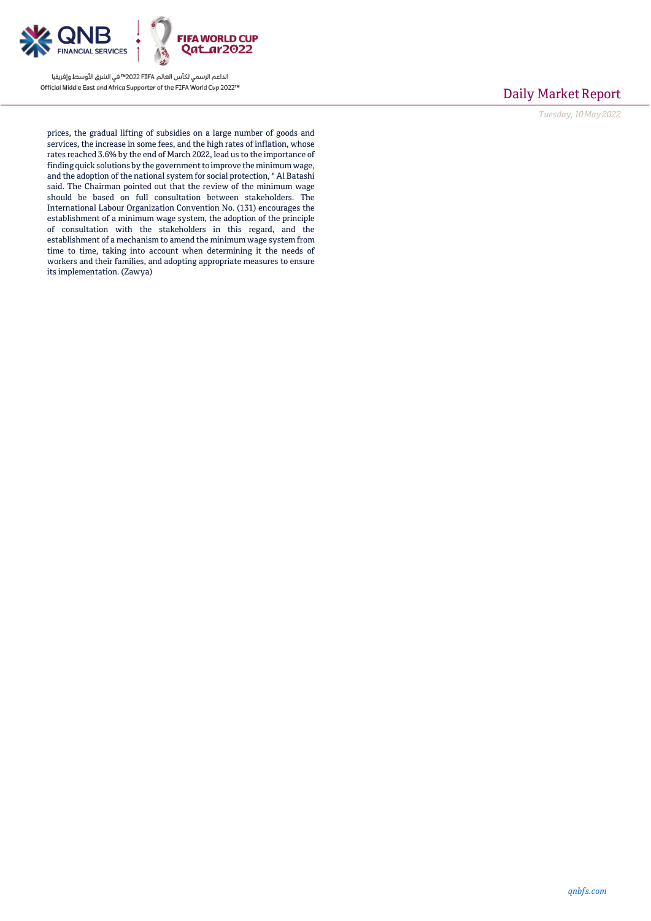

# Daily Market Report

*Tuesday, 10May2022*

prices, the gradual lifting of subsidies on a large number of goods and services, the increase in some fees, and the high rates of inflation, whose rates reached 3.6% by the end of March 2022, lead us to the importance of finding quick solutions by the government to improve the minimum wage, and the adoption of the national system for social protection, " Al Batashi said. The Chairman pointed out that the review of the minimum wage should be based on full consultation between stakeholders. The International Labour Organization Convention No. (131) encourages the establishment of a minimum wage system, the adoption of the principle of consultation with the stakeholders in this regard, and the establishment of a mechanism to amend the minimum wage system from time to time, taking into account when determining it the needs of workers and their families, and adopting appropriate measures to ensure its implementation. (Zawya)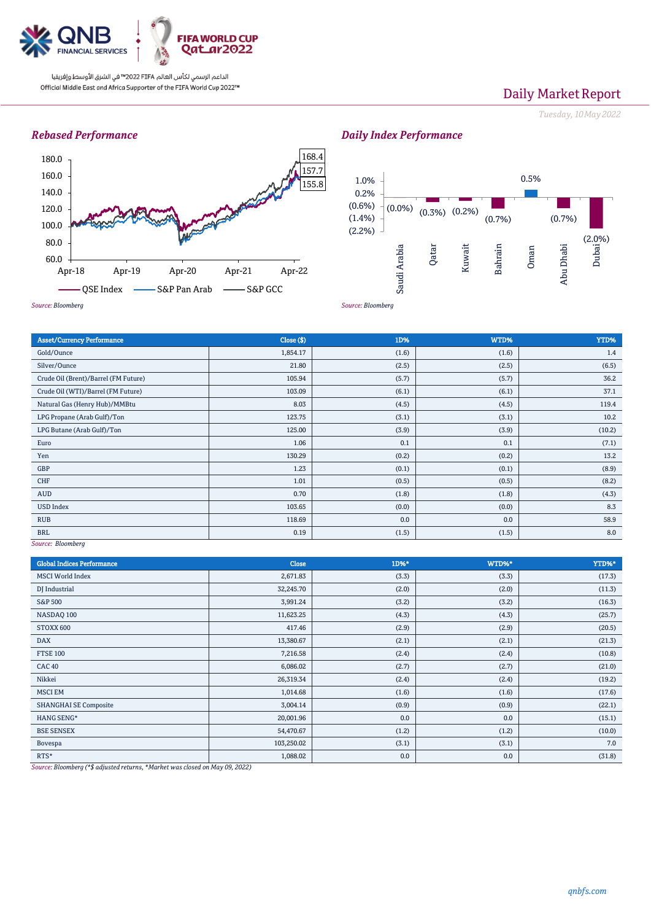

# Daily Market Report

*Tuesday, 10May2022*

## *Rebased Performance*





*Daily Index Performance*

Asset/Currency Performance Close (\$) 1D% WTD% YTD% Gold/Ounce (1.6) 1.45 (1.6) 1.45 (1.6) 1.45 (1.6) 1.45 (1.6) 1.45 (1.6) 1.45 (1.6) 1.45 (1.6) 1.45 (1.6) 1.45 (1.6) 1.45 (1.6) 1.45 (1.6) 1.45 (1.6) 1.45 (1.6) 1.45 (1.6) 1.45 (1.6) 1.45 (1.6) 1.45 (1.6) 1.45 (1.6) 1.45 (1 Silver/Ounce  $21.80$  (2.5) (8.5) (8.5) (8.5) (8.5) (8.5) (8.5) (8.6) (8.5) (8.6) (8.6) (8.5) (8.6) (8.5) (8.5) (6.5) Crude Oil (Brent)/Barrel (FM Future) 105.94 (5.7) (5.7) 36.2 Crude Oil (WTI)/Barrel (FM Future) 103.09 (6.1) (6.1) (6.1) (6.1) (6.1) (6.1) 37.1 Natural Gas (Henry Hub)/MMBtu 119.4 (4.5) (4.5) (4.5) (4.5) (4.5) (4.5) (4.5) (4.5) (4.5) 119.4 LPG Propane (Arab Gulf)/Ton 10.2 (3.1) (3.1) (3.1) (3.1) (3.1) (3.1) (3.1) (3.1) 10.2 LPG Butane (Arab Gulf)/Ton (10.2) (3.9) (3.9) (3.9) (3.9) (3.9) (3.9) (3.9) (3.9) (3.9) (10.2) Euro  $1.06$   $0.1$   $0.1$   $0.1$   $0.1$   $0.1$   $0.1$   $0.1$   $0.1$   $0.1$   $0.1$   $0.1$   $0.1$ Yen (0.2) (0.2) 13.2 (0.2) 13.2 (0.2) (0.2) (0.2) (0.2) (0.2) (0.2) (0.2) (0.2) (0.2) 13.2 GBP  $1.23$   $(0.1)$   $(0.1)$   $(0.1)$   $(0.1)$   $(8.9)$ CHF  $(8.2)$ AUD (1.8) (1.8) (1.8) (1.8) (1.8) (1.8) (1.8) (1.8) (1.8) (1.8) (1.8) (1.8) (1.8) (1.8) (1.8) (1.8) (1.8) (1.8) (1.8) (1.8) (1.8) (1.8) (1.8) (1.8) (1.8) (1.8) (1.8) (1.8) (1.8) (1.8) (1.8) (1.8) (1.8) (1.8) (1.8) (1.8) ( USD Index (0.0)  $\begin{array}{|c|c|c|c|c|c|c|c|c|} \hline \end{array}$  . The contract of the contract of the contract of the contract of the contract of the contract of the contract of the contract of the contract of the contract of the con RUB 118.69 0.0 0.0 58.9 58.9 58.9  $\,$ BRL  $(1.5)$   $(1.5)$   $(1.5)$   $(1.5)$   $(1.5)$   $(1.5)$ 

*Source: Bloomberg*

| <b>Global Indices Performance</b>                                                                                                                                                                                                                 | <b>Close</b> | 1D%*  | WTD%* | YTD%*  |
|---------------------------------------------------------------------------------------------------------------------------------------------------------------------------------------------------------------------------------------------------|--------------|-------|-------|--------|
| <b>MSCI World Index</b>                                                                                                                                                                                                                           | 2,671.83     | (3.3) | (3.3) | (17.3) |
| DJ Industrial                                                                                                                                                                                                                                     | 32,245.70    | (2.0) | (2.0) | (11.3) |
| <b>S&amp;P 500</b>                                                                                                                                                                                                                                | 3,991.24     | (3.2) | (3.2) | (16.3) |
| NASDAQ 100                                                                                                                                                                                                                                        | 11,623.25    | (4.3) | (4.3) | (25.7) |
| STOXX 600                                                                                                                                                                                                                                         | 417.46       | (2.9) | (2.9) | (20.5) |
| <b>DAX</b>                                                                                                                                                                                                                                        | 13,380.67    | (2.1) | (2.1) | (21.3) |
| <b>FTSE 100</b>                                                                                                                                                                                                                                   | 7,216.58     | (2.4) | (2.4) | (10.8) |
| <b>CAC 40</b>                                                                                                                                                                                                                                     | 6,086.02     | (2.7) | (2.7) | (21.0) |
| Nikkei                                                                                                                                                                                                                                            | 26,319.34    | (2.4) | (2.4) | (19.2) |
| <b>MSCI EM</b>                                                                                                                                                                                                                                    | 1,014.68     | (1.6) | (1.6) | (17.6) |
| <b>SHANGHAI SE Composite</b>                                                                                                                                                                                                                      | 3,004.14     | (0.9) | (0.9) | (22.1) |
| HANG SENG*                                                                                                                                                                                                                                        | 20,001.96    | 0.0   | 0.0   | (15.1) |
| <b>BSE SENSEX</b>                                                                                                                                                                                                                                 | 54,470.67    | (1.2) | (1.2) | (10.0) |
| Bovespa                                                                                                                                                                                                                                           | 103,250.02   | (3.1) | (3.1) | 7.0    |
| $RTS*$<br>we shake the second contract the second company of the second company of the second contract of the second contract of the second contract of the second contract of the second contract of the second contract of the second<br>$\sim$ | 1,088.02     | 0.0   | 0.0   | (31.8) |

*Source: Bloomberg (\*\$ adjusted returns, \*Market was closed on May 09, 2022)*

#### *qnbfs.com*